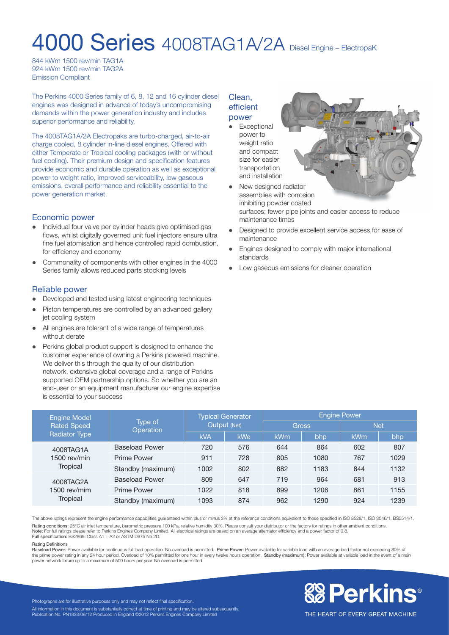# 4000 Series 4008TAG1A/2A Diesel Engine – ElectropaK

844 kWm 1500 rev/min TAG1A 924 kWm 1500 rev/min TAG2A Emission Compliant

The Perkins 4000 Series family of 6, 8, 12 and 16 cylinder diesel engines was designed in advance of today's uncompromising demands within the power generation industry and includes superior performance and reliability.

The 4008TAG1A/2A Electropaks are turbo-charged, air-to-air charge cooled, 8 cylinder in-line diesel engines. Offered with either Temperate or Tropical cooling packages (with or without fuel cooling). Their premium design and specification features provide economic and durable operation as well as exceptional power to weight ratio, improved serviceability, low gaseous emissions, overall performance and reliability essential to the power generation market.

# Economic power

- l Individual four valve per cylinder heads give optimised gas flows, whilst digitally governed unit fuel injectors ensure ultra fine fuel atomisation and hence controlled rapid combustion, for efficiency and economy
- Commonality of components with other engines in the 4000 Series family allows reduced parts stocking levels

# Reliable power

- Developed and tested using latest engineering techniques
- Piston temperatures are controlled by an advanced gallery jet cooling system
- All engines are tolerant of a wide range of temperatures without derate
- Perkins global product support is designed to enhance the customer experience of owning a Perkins powered machine. We deliver this through the quality of our distribution network, extensive global coverage and a range of Perkins supported OEM partnership options. So whether you are an end-user or an equipment manufacturer our engine expertise is essential to your success

# Clean, efficient power

• Exceptional power to weight ratio and compact size for easier transportation and installation



- New designed radiator assemblies with corrosion inhibiting powder coated surfaces; fewer pipe joints and easier access to reduce maintenance times
- Designed to provide excellent service access for ease of maintenance
- Engines designed to comply with major international standards
- Low gaseous emissions for cleaner operation

| <b>Engine Model</b><br><b>Rated Speed</b><br><b>Radiator Type</b> | Type of<br>Operation  | <b>Typical Generator</b><br>Output (Net) |     | <b>Engine Power</b> |      |            |      |
|-------------------------------------------------------------------|-----------------------|------------------------------------------|-----|---------------------|------|------------|------|
|                                                                   |                       |                                          |     | <b>Gross</b>        |      | <b>Net</b> |      |
|                                                                   |                       | <b>kVA</b>                               | kWe | kWm                 | bhp  | <b>kWm</b> | bhp  |
| 4008TAG1A<br>$1500$ rev/min<br>Tropical                           | <b>Baseload Power</b> | 720                                      | 576 | 644                 | 864  | 602        | 807  |
|                                                                   | <b>Prime Power</b>    | 911                                      | 728 | 805                 | 1080 | 767        | 1029 |
|                                                                   | Standby (maximum)     | 1002                                     | 802 | 882                 | 1183 | 844        | 1132 |
| 4008TAG2A<br>1500 rev/mim<br><b>Tropical</b>                      | <b>Baseload Power</b> | 809                                      | 647 | 719                 | 964  | 681        | 913  |
|                                                                   | <b>Prime Power</b>    | 1022                                     | 818 | 899                 | 1206 | 861        | 1155 |
|                                                                   | Standby (maximum)     | 1093                                     | 874 | 962                 | 1290 | 924        | 1239 |

The above ratings represent the engine performance capabilities guaranteed within plus or minus 3% at the reference conditions equivalent to those specified in ISO 8528/1, ISO 3046/1, BS5514/1. Rating conditions: 25°C air inlet temperature, barometric pressure 100 kPa, relative humidity 30%. Please consult your distributor or the factory for ratings in other ambient conditions. Note: For full ratings please refer to Perkins Engines Company Limited. All electrical ratings are based on an average alternator efficiency and a power factor of 0.8.

Full specification: BS2869: Class A1 + A2 or ASTM D975 No 2D.

#### Rating Definitions

Baseload Power: Power available for continuous full load operation. No overload is permitted. Prime Power: Power available for variable load with an average load factor not exceeding 80% of the prime power rating in any 24 hour period. Overload of 10% permitted for one hour in every twelve hours operation. Standby (maximum): Power available at variable load in the event of a main power network failure up to a maximum of 500 hours per year. No overload is permitted.



Photographs are for illustrative purposes only and may not reflect final specification. All information in this document is substantially correct at time of printing and may be altered subsequently Publication No. PN1833/09/12 Produced in England ©2012 Perkins Engines Company Limited